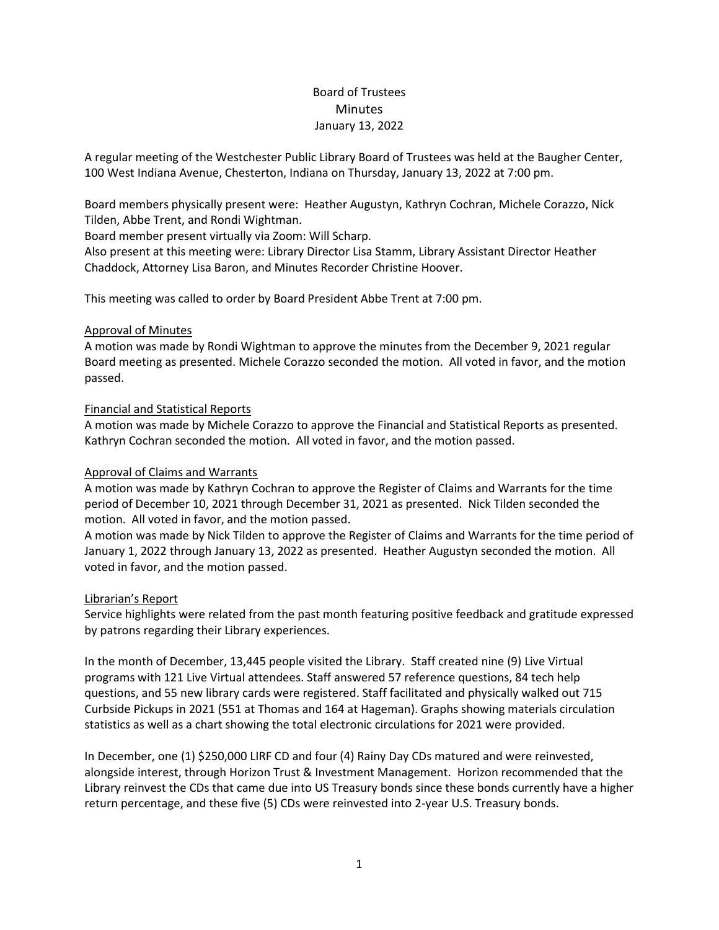# Board of Trustees **Minutes** January 13, 2022

A regular meeting of the Westchester Public Library Board of Trustees was held at the Baugher Center, 100 West Indiana Avenue, Chesterton, Indiana on Thursday, January 13, 2022 at 7:00 pm.

Board members physically present were: Heather Augustyn, Kathryn Cochran, Michele Corazzo, Nick Tilden, Abbe Trent, and Rondi Wightman.

Board member present virtually via Zoom: Will Scharp.

Also present at this meeting were: Library Director Lisa Stamm, Library Assistant Director Heather Chaddock, Attorney Lisa Baron, and Minutes Recorder Christine Hoover.

This meeting was called to order by Board President Abbe Trent at 7:00 pm.

# Approval of Minutes

A motion was made by Rondi Wightman to approve the minutes from the December 9, 2021 regular Board meeting as presented. Michele Corazzo seconded the motion. All voted in favor, and the motion passed.

# Financial and Statistical Reports

A motion was made by Michele Corazzo to approve the Financial and Statistical Reports as presented. Kathryn Cochran seconded the motion. All voted in favor, and the motion passed.

## Approval of Claims and Warrants

A motion was made by Kathryn Cochran to approve the Register of Claims and Warrants for the time period of December 10, 2021 through December 31, 2021 as presented. Nick Tilden seconded the motion. All voted in favor, and the motion passed.

A motion was made by Nick Tilden to approve the Register of Claims and Warrants for the time period of January 1, 2022 through January 13, 2022 as presented. Heather Augustyn seconded the motion. All voted in favor, and the motion passed.

## Librarian's Report

Service highlights were related from the past month featuring positive feedback and gratitude expressed by patrons regarding their Library experiences.

In the month of December, 13,445 people visited the Library. Staff created nine (9) Live Virtual programs with 121 Live Virtual attendees. Staff answered 57 reference questions, 84 tech help questions, and 55 new library cards were registered. Staff facilitated and physically walked out 715 Curbside Pickups in 2021 (551 at Thomas and 164 at Hageman). Graphs showing materials circulation statistics as well as a chart showing the total electronic circulations for 2021 were provided.

In December, one (1) \$250,000 LIRF CD and four (4) Rainy Day CDs matured and were reinvested, alongside interest, through Horizon Trust & Investment Management. Horizon recommended that the Library reinvest the CDs that came due into US Treasury bonds since these bonds currently have a higher return percentage, and these five (5) CDs were reinvested into 2-year U.S. Treasury bonds.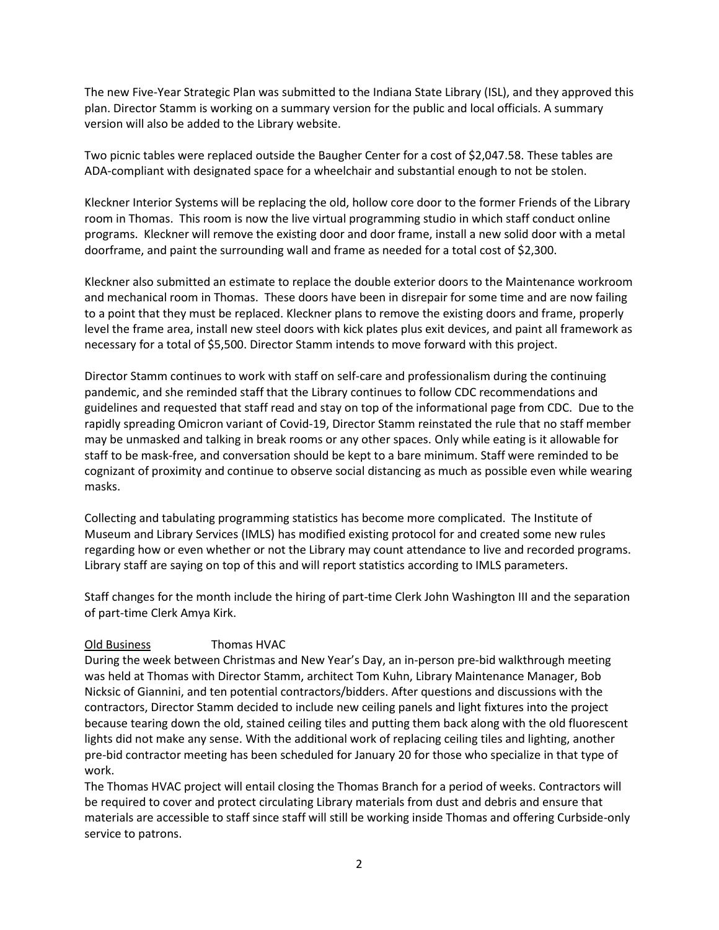The new Five-Year Strategic Plan was submitted to the Indiana State Library (ISL), and they approved this plan. Director Stamm is working on a summary version for the public and local officials. A summary version will also be added to the Library website.

Two picnic tables were replaced outside the Baugher Center for a cost of \$2,047.58. These tables are ADA-compliant with designated space for a wheelchair and substantial enough to not be stolen.

Kleckner Interior Systems will be replacing the old, hollow core door to the former Friends of the Library room in Thomas. This room is now the live virtual programming studio in which staff conduct online programs. Kleckner will remove the existing door and door frame, install a new solid door with a metal doorframe, and paint the surrounding wall and frame as needed for a total cost of \$2,300.

Kleckner also submitted an estimate to replace the double exterior doors to the Maintenance workroom and mechanical room in Thomas. These doors have been in disrepair for some time and are now failing to a point that they must be replaced. Kleckner plans to remove the existing doors and frame, properly level the frame area, install new steel doors with kick plates plus exit devices, and paint all framework as necessary for a total of \$5,500. Director Stamm intends to move forward with this project.

Director Stamm continues to work with staff on self-care and professionalism during the continuing pandemic, and she reminded staff that the Library continues to follow CDC recommendations and guidelines and requested that staff read and stay on top of the informational page from CDC. Due to the rapidly spreading Omicron variant of Covid-19, Director Stamm reinstated the rule that no staff member may be unmasked and talking in break rooms or any other spaces. Only while eating is it allowable for staff to be mask-free, and conversation should be kept to a bare minimum. Staff were reminded to be cognizant of proximity and continue to observe social distancing as much as possible even while wearing masks.

Collecting and tabulating programming statistics has become more complicated. The Institute of Museum and Library Services (IMLS) has modified existing protocol for and created some new rules regarding how or even whether or not the Library may count attendance to live and recorded programs. Library staff are saying on top of this and will report statistics according to IMLS parameters.

Staff changes for the month include the hiring of part-time Clerk John Washington III and the separation of part-time Clerk Amya Kirk.

## Old Business Thomas HVAC

During the week between Christmas and New Year's Day, an in-person pre-bid walkthrough meeting was held at Thomas with Director Stamm, architect Tom Kuhn, Library Maintenance Manager, Bob Nicksic of Giannini, and ten potential contractors/bidders. After questions and discussions with the contractors, Director Stamm decided to include new ceiling panels and light fixtures into the project because tearing down the old, stained ceiling tiles and putting them back along with the old fluorescent lights did not make any sense. With the additional work of replacing ceiling tiles and lighting, another pre-bid contractor meeting has been scheduled for January 20 for those who specialize in that type of work.

The Thomas HVAC project will entail closing the Thomas Branch for a period of weeks. Contractors will be required to cover and protect circulating Library materials from dust and debris and ensure that materials are accessible to staff since staff will still be working inside Thomas and offering Curbside-only service to patrons.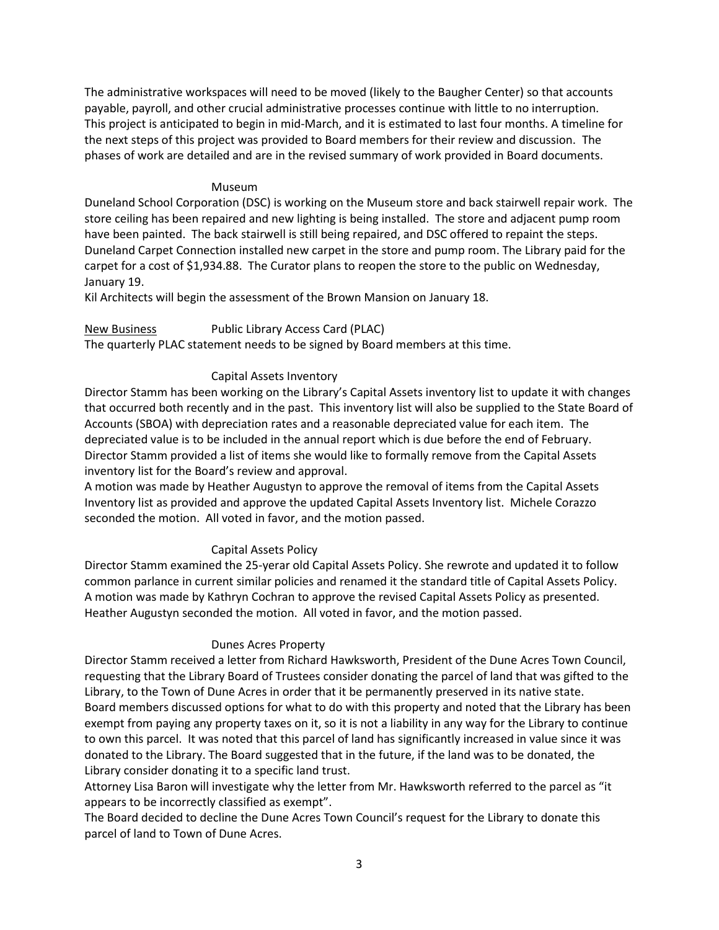The administrative workspaces will need to be moved (likely to the Baugher Center) so that accounts payable, payroll, and other crucial administrative processes continue with little to no interruption. This project is anticipated to begin in mid-March, and it is estimated to last four months. A timeline for the next steps of this project was provided to Board members for their review and discussion. The phases of work are detailed and are in the revised summary of work provided in Board documents.

#### Museum

Duneland School Corporation (DSC) is working on the Museum store and back stairwell repair work. The store ceiling has been repaired and new lighting is being installed. The store and adjacent pump room have been painted. The back stairwell is still being repaired, and DSC offered to repaint the steps. Duneland Carpet Connection installed new carpet in the store and pump room. The Library paid for the carpet for a cost of \$1,934.88. The Curator plans to reopen the store to the public on Wednesday, January 19.

Kil Architects will begin the assessment of the Brown Mansion on January 18.

New Business Public Library Access Card (PLAC)

The quarterly PLAC statement needs to be signed by Board members at this time.

# Capital Assets Inventory

Director Stamm has been working on the Library's Capital Assets inventory list to update it with changes that occurred both recently and in the past. This inventory list will also be supplied to the State Board of Accounts (SBOA) with depreciation rates and a reasonable depreciated value for each item. The depreciated value is to be included in the annual report which is due before the end of February. Director Stamm provided a list of items she would like to formally remove from the Capital Assets inventory list for the Board's review and approval.

A motion was made by Heather Augustyn to approve the removal of items from the Capital Assets Inventory list as provided and approve the updated Capital Assets Inventory list. Michele Corazzo seconded the motion. All voted in favor, and the motion passed.

# Capital Assets Policy

Director Stamm examined the 25-yerar old Capital Assets Policy. She rewrote and updated it to follow common parlance in current similar policies and renamed it the standard title of Capital Assets Policy. A motion was made by Kathryn Cochran to approve the revised Capital Assets Policy as presented. Heather Augustyn seconded the motion. All voted in favor, and the motion passed.

## Dunes Acres Property

Director Stamm received a letter from Richard Hawksworth, President of the Dune Acres Town Council, requesting that the Library Board of Trustees consider donating the parcel of land that was gifted to the Library, to the Town of Dune Acres in order that it be permanently preserved in its native state. Board members discussed options for what to do with this property and noted that the Library has been exempt from paying any property taxes on it, so it is not a liability in any way for the Library to continue to own this parcel. It was noted that this parcel of land has significantly increased in value since it was donated to the Library. The Board suggested that in the future, if the land was to be donated, the Library consider donating it to a specific land trust.

Attorney Lisa Baron will investigate why the letter from Mr. Hawksworth referred to the parcel as "it appears to be incorrectly classified as exempt".

The Board decided to decline the Dune Acres Town Council's request for the Library to donate this parcel of land to Town of Dune Acres.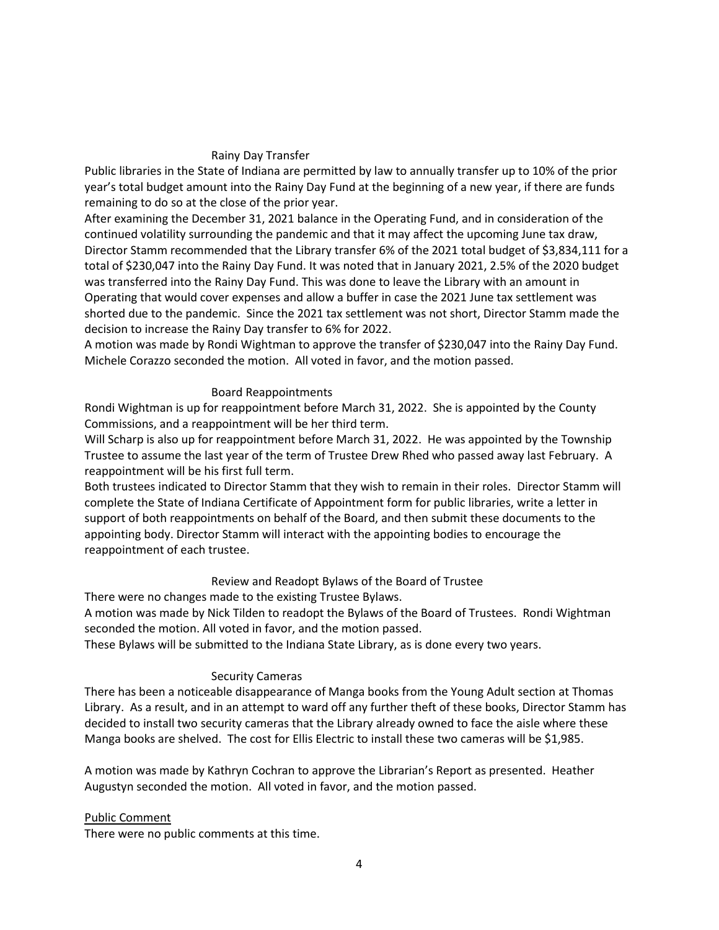#### Rainy Day Transfer

Public libraries in the State of Indiana are permitted by law to annually transfer up to 10% of the prior year's total budget amount into the Rainy Day Fund at the beginning of a new year, if there are funds remaining to do so at the close of the prior year.

After examining the December 31, 2021 balance in the Operating Fund, and in consideration of the continued volatility surrounding the pandemic and that it may affect the upcoming June tax draw, Director Stamm recommended that the Library transfer 6% of the 2021 total budget of \$3,834,111 for a total of \$230,047 into the Rainy Day Fund. It was noted that in January 2021, 2.5% of the 2020 budget was transferred into the Rainy Day Fund. This was done to leave the Library with an amount in Operating that would cover expenses and allow a buffer in case the 2021 June tax settlement was shorted due to the pandemic. Since the 2021 tax settlement was not short, Director Stamm made the decision to increase the Rainy Day transfer to 6% for 2022.

A motion was made by Rondi Wightman to approve the transfer of \$230,047 into the Rainy Day Fund. Michele Corazzo seconded the motion. All voted in favor, and the motion passed.

#### Board Reappointments

Rondi Wightman is up for reappointment before March 31, 2022. She is appointed by the County Commissions, and a reappointment will be her third term.

Will Scharp is also up for reappointment before March 31, 2022. He was appointed by the Township Trustee to assume the last year of the term of Trustee Drew Rhed who passed away last February. A reappointment will be his first full term.

Both trustees indicated to Director Stamm that they wish to remain in their roles. Director Stamm will complete the State of Indiana Certificate of Appointment form for public libraries, write a letter in support of both reappointments on behalf of the Board, and then submit these documents to the appointing body. Director Stamm will interact with the appointing bodies to encourage the reappointment of each trustee.

## Review and Readopt Bylaws of the Board of Trustee

There were no changes made to the existing Trustee Bylaws.

A motion was made by Nick Tilden to readopt the Bylaws of the Board of Trustees. Rondi Wightman seconded the motion. All voted in favor, and the motion passed.

These Bylaws will be submitted to the Indiana State Library, as is done every two years.

## Security Cameras

There has been a noticeable disappearance of Manga books from the Young Adult section at Thomas Library. As a result, and in an attempt to ward off any further theft of these books, Director Stamm has decided to install two security cameras that the Library already owned to face the aisle where these Manga books are shelved. The cost for Ellis Electric to install these two cameras will be \$1,985.

A motion was made by Kathryn Cochran to approve the Librarian's Report as presented. Heather Augustyn seconded the motion. All voted in favor, and the motion passed.

#### Public Comment

There were no public comments at this time.